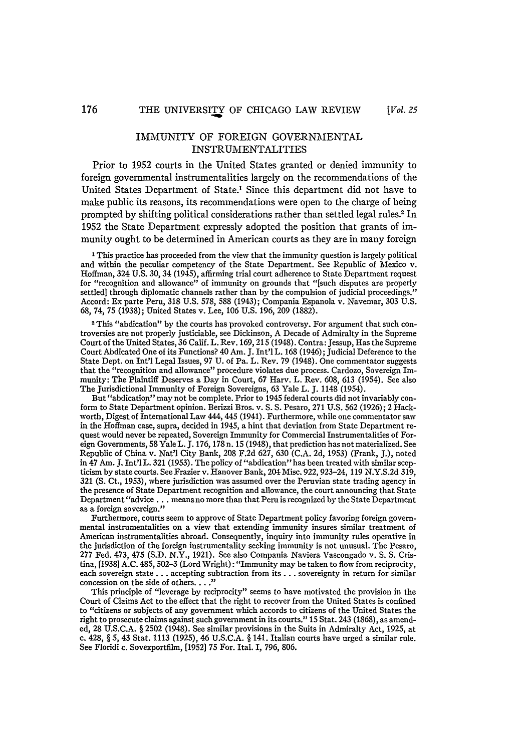*[Vol. 25*

# IMMUNITY OF FOREIGN GOVERNMENTAL INSTRUMENTALITIES

Prior to 1952 courts in the United States granted or denied immunity to foreign governmental instrumentalities largely on the recommendations of the United States Department of State.' Since this department did not have to make public its reasons, its recommendations were open to the charge of being prompted by shifting political considerations rather than settled legal rules.<sup>2</sup> In 1952 the State Department expressly adopted the position that grants of immunity ought to be determined in American courts as they are in many foreign

**I** This practice has proceeded from the view that the immunity question is largely political and within the peculiar competency of the State Department. See Republic of Mexico v. Hoffman, 324 U.S. 30, 34 (1945), affirming trial court adherence to State Department request for "recognition and allowance" of immunity on grounds that "[such disputes are properly settled] through diplomatic channels rather than by the compulsion of judicial proceedings." Accord: Ex parte Peru, 318 U.S. 578, 588 (1943); Compania Espanola v. Navemar, 303 U.S. 68, 74, 75 (1938); United States v. Lee, 106 U.S. 196, 209 (1882).

2 This "abdication" by the courts has provoked controversy. For argument that such controversies are not properly justiciable, see Dickinson, A Decade of Admiralty in the Supreme Court of the United States, 36 Calif. L. Rev. 169, 215 (1948). Contra: Jessup, Has the Supreme Court Abdicated One of its Functions? 40 Am. J. Int'l L. 168 (1946); Judicial Deference to the State Dept. on Int'l Legal Issues, 97 U. of Pa. L. Rev. 79 (1948). One commentator suggests that the "recognition and allowance" procedure violates due process. Cardozo, Sovereign Immunity: The Plaintiff Deserves a Day in Court, 67 Harv. L. Rev. 608, 613 (1954). See also The Jurisdictional Immunity of Foreign Sovereigns, 63 Yale L. J. 1148 (1954).

But "abdication" may not be complete. Prior to 1945 federal courts did not invariably conform to State Department opinion. Berizzi Bros. v. S. S. Pesaro, 271 U.S. 562 (1926); 2 Hackworth, Digest of International Law 444, 445 (1941). Furthermore, while one commentator saw in the Hoffman case, supra, decided in 1945, a hint that deviation from State Department request would never be repeated, Sovereign Immunity for Commercial Instrumentalities of Foreign Governments, 58 Yale L. J. 176, 178 n. 15 (1948), that prediction has not materialized. See Republic of China v. Nat'l City Bank, 208 F.2d 627, 630 (C.A. 2d, 1953) (Frank, J.), noted in 47 Am. J. Int'l L. 321 (1953). The policy of "abdication" has been treated with similar scepticism by state courts. See Frazier v. Hanover Bank, 204 Misc. 922, 923-24, 119 N.Y.S.2d 319, 321 **(S.** Ct., 1953), where jurisdiction was assumed over the Peruvian state trading agency in the presence of State Department recognition and allowance, the court announcing that State Department "advice... means no more than that Peru is recognized **by** the State Department as a foreign sovereign."

Furthermore, courts seem to approve of State Department policy favoring foreign governmental instrumentalities on a view that extending immunity insures similar treatment of American instrumentalities abroad. Consequently, inquiry into immunity rules operative in the jurisdiction of the foreign instrumentality seeking immunity is not unusual. The Pesaro, 277 Fed. 473, 475 (S.D. N.Y., 1921). See also Compania Naviera Vascongado v. **S.** S. Cristina, [1938] A.C. 485, 502-3 (Lord Wright): "Immunity may be taken to flow from reciprocity, each sovereign state **...** accepting subtraction from its **...** sovereignty in return for similar concession on the side of others. **.. ."**

This principle of "leverage by reciprocity" seems to have motivated the provision in the Court of Claims Act to the effect that the right to recover from the United States is confined to "citizens or subjects of any government which accords to citizens of the United States the right to prosecute claims against such government in its courts." 15 Stat. 243 (1868), as amended, 28 U.S.C.A. § 2502 (1948). See similar provisions in the Suits in Admiralty Act, 1925, at c. 428, § 5, 43 Stat. 1113 (1925), 46 U.S.C.A. § 141. Italian courts have urged a similar rule. See Floridi c. Sovexportfilm, [1952] 75 For. Ital. I, 796, 806.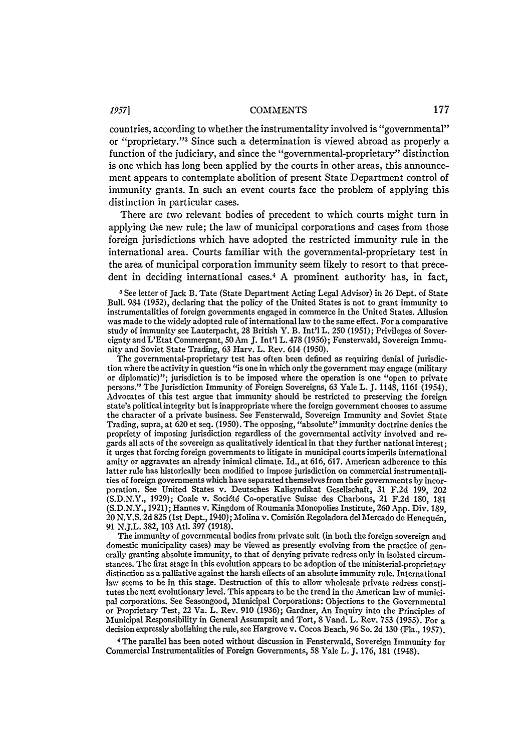#### *19571* **COMMENTS**

countries, according to whether the instrumentality involved is "governmental" or "proprietary."' 3 Since such a determination is viewed abroad as properly a function of the judiciary, and since the "governmental-proprietary" distinction is one which has long been applied by the courts in other areas, this announcement appears to contemplate abolition of present State Department control of immunity grants. In such an event courts face the problem of applying this distinction in particular cases.

There are two relevant bodies of precedent to which courts might turn in applying the new rule; the law of municipal corporations and cases from those foreign jurisdictions which have adopted the restricted immunity rule in the international area. Courts familiar with the governmental-proprietary test in the area of municipal corporation immunity seem likely to resort to that precedent in deciding international cases.4 A prominent authority has, in fact,

3 See letter of Jack B. Tate (State Department Acting Legal Advisor) in 26 Dept. of State Bull. 984 (1952), declaring that the policy of the United States is not to grant immunity to instrumentalities of foreign governments engaged in commerce in the United States. Allusion was made to the widely adopted rule of international law to the same effect. For a comparative study of immunity see Lauterpacht, 28 British Y. B. Int'l L. 250 (1951); Privileges of Sovereignty and L'Etat Commergant, 50 Am J. Int'l L. 478 (1956); Fensterwald, Sovereign Immunity and Soviet State Trading, 63 Harv. L. Rev. 614 (1950).

The governmental-proprietary test has often been defined as requiring denial of jurisdiction where the activity in question "is one in which only the government may engage (military or diplomatic)"; jurisdiction is to be imposed where the operation is one "open to private persons." The Jurisdiction Immunity of Foreign Sovereigns, 63 Yale L. J. 1148, 1161 (1954). Advocates of this test argue that immunity should be restricted to preserving the foreign state's political integrity but is inappropriate where the foreign government chooses to assume the character of a private business. See Fensterwald, Sovereign Immunity and Soviet State Trading, supra, at 620 et seq. (1950). The opposing, "absolute" immunity doctrine denies the propriety of imposing jurisdiction regardless of the governmental activity involved and regards all acts of the sovereign as qualitatively identical in that they further national interest; it urges that forcing foreign governments to litigate in municipal courts imperils international amity or aggravates an already inimical climate. Id., at 616, 617. American adherence to this latter rule has historically been modified to impose jurisdiction on commercial instrumentalities of foreign governments which have separated themselves from their governments by incorporation. See United States v. Deutsches Kaisyndikat Gesellschaft, 31 F.2d 199, 202 (S.D.N.Y., 1929); Coale v. Socigt6 Co-operative Suisse des Charbons, 21 F.2d 180, 181 (S.D.N.Y., 1921); Hannes v. Kingdom of Roumania Monopolies Institute, 260 App. Div. 189, 20 N.Y.S. 2d 825 (1st Dept., 1940); Molina v. Comisión Regoladora del Mercado de Henequen, 91 N.J.L. 382, 103 Atl. 397 (1918).

The immunity of governmental bodies from private suit (in both the foreign sovereign and domestic municipality cases) may be viewed as presently evolving from the practice of generally granting absolute immunity, to that of denying private redress only in isolated circumstances. The first stage in this evolution appears to be adoption of the ministerial-proprietary distinction as a palliative against the harsh effects of an absolute immunity rule. International law seems to be in this stage. Destruction of this to allow wholesale private redress constitutes the next evolutionary level. This appears to be the trend in the American law of municipal corporations. See Seasongood, Municipal Corporations: Objections to the Governmental or Proprietary Test, 22 Va. L. Rev. **910** (1936); Gardner, An Inquiry into the Principles of Municipal Responsibility in General Assumpsit and Tort, 8 Vand. L. Rev. **753** (1955). For a decision expressly abolishing the rule, see Hargrove v. Cocoa Beach, **96** So. 2d **130** (Fla., 1957).

4The parallel has been noted without discussion in Fensterwald, Sovereign Immunity for Commercial Instrumentalities of Foreign Governments, **58** Yale L. J. 176, 181 (1948).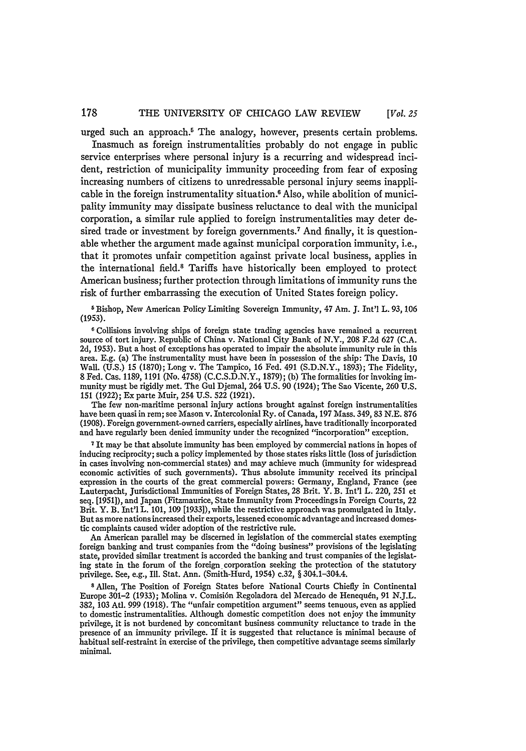urged such an approach.<sup>5</sup> The analogy, however, presents certain problems.

Inasmuch as foreign instrumentalities probably do not engage in public service enterprises where personal injury is a recurring and widespread incident, restriction of municipality immunity proceeding from fear of exposing increasing numbers of citizens to unredressable personal injury seems inapplicable in the foreign instrumentality situation.6 Also, while abolition of municipality immunity may dissipate business reluctance to deal with the municipal corporation, a similar rule applied to foreign instrumentalities may deter desired trade or investment by foreign governments.7 And finally, it is questionable whether the argument made against municipal corporation immunity, i.e., that it promotes unfair competition against private local business, applies in the international field.' Tariffs have historically been employed to protect American business; further protection through limitations of immunity runs the risk of further embarrassing the execution of United States foreign policy.

<sup>5</sup> Bishop, New American Policy Limiting Sovereign Immunity, 47 Am. J. Int'l L. 93, 106 (1953).

**6** Collisions involving ships of foreign state trading agencies have remained a recurrent source of tort injury. Republic of China v. National City Bank of N.Y., 208 F.2d 627 (C.A. 2d, 1953). But a host of exceptions has operated to impair the absolute immunity rule in this area. E.g. (a) The instrumentality must have been in possession of the ship: The Davis, 10 Wall. (U.S.) 15 (1870); Long v. The Tampico, 16 Fed. 491 (S.D.N.Y., 1893); The Fidelity, 8 Fed. Cas. 1189, 1191 (No. 4758) (C.C.S.D.N.Y., 1879); (b) The formalities for invoking immunity must be rigidly met. The Gul Djemal, 264 U.S. 90 (1924); The Sao Vicente, 260 U.S. 151 (1922); Ex parte Muir, 254 U.S. 522 (1921).

The few non-maritime personal injury actions brought against foreign instrumentalities have been quasi in rem; see Mason v. Intercolonial Ry. of Canada, 197 Mass. 349, 83 N.E. 876 (1908). Foreign government-owned carriers, especially airlines, have traditionally incorporated and have regularly been denied immunity under the recognized "incorporation" exception.

<sup>7</sup> It may be that absolute immunity has been employed by commercial nations in hopes of inducing reciprocity; such a policy implemented by those states risks little (loss of jurisdiction in cases involving non-commercial states) and may achieve much (immunity for widespread economic activities of such governments). Thus absolute immunity received its principal expression in the courts of the great commercial powers: Germany, England, France (see Lauterpacht, Jurisdictional Immunities of Foreign States, 28 Brit. Y. B. Int'l L. 220, 251 et seq. [1951]), and Japan (Fitzmaurice, State Immunity from Proceedings in Foreign Courts, 22 Brit. Y. B. Int'l L. 101, 109 [1933]), while the restrictive approach was promulgated in Italy. But as more nations increased their exports, lessened economic advantage and increased domestic complaints caused wider adoption of the restrictive rule.

An American parallel may be discerned in legislation of the commercial states exempting foreign banking and trust companies from the "doing business" provisions of the legislating state, provided similar treatment is accorded the banking and trust companies of the legislating state in the forum of the foreign, corporation seeking the protection of the statutory privilege. See, e.g., Ill. Stat. Ann. (Smith-Hurd, 1954) c.32, § 304.1-304.4.

**<sup>8</sup>**Allen, The Position of Foreign States before National Courts Chiefly in Continental Europe 301-2 (1933); Molina v. Comisi6n Regoladora del Mercado de Henequfn, 91 N.J.L. 382, 103 Ati. 999 (1918). The "unfair competition argument" seems tenuous, even as applied to domestic instrumentalities. Although domestic competition does not enjoy the immunity privilege, it is not burdened by concomitant business community reluctance to trade in the presence of an immunity privilege. If it is suggested that reluctance is minimal because of habitual self-restraint in exercise of the privilege, then competitive advantage seems similarly minimal.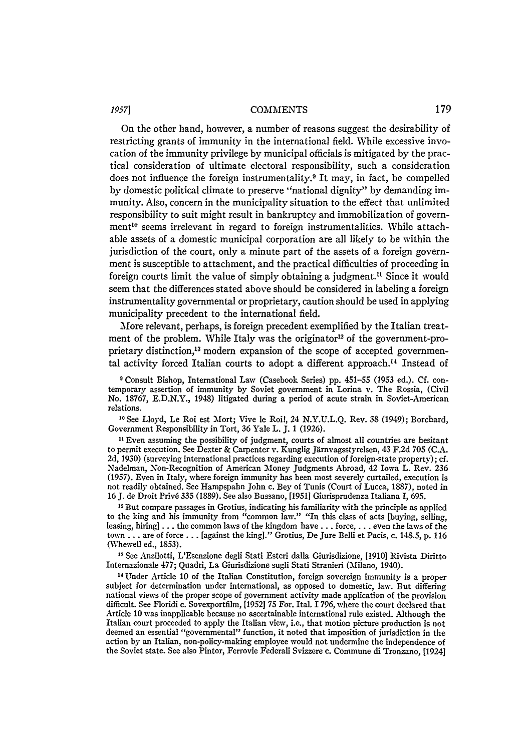### *19571* **COMMENTS**

On the other hand, however, a number of reasons suggest the desirability of restricting grants of immunity in the international field. While excessive invocation of the immunity privilege by municipal officials is mitigated by the practical consideration of ultimate electoral responsibility, such a consideration does not influence the foreign instrumentality.<sup>9</sup> It may, in fact, be compelled by domestic political climate to preserve "national dignity" by demanding immunity. Also, concern in the municipality situation to the effect that unlimited responsibility to suit might result in bankruptcy and immobilization of government<sup>10</sup> seems irrelevant in regard to foreign instrumentalities. While attachable assets of a domestic municipal corporation are all likely to be within the jurisdiction of the court, only a minute part of the assets of a foreign government is susceptible to attachment, and the practical difficulties of proceeding in foreign courts limit the value of simply obtaining a judgment." Since it would seem that the differences stated above should be considered in labeling a foreign instrumentality governmental or proprietary, caution should be used in applying municipality precedent to the international field.

More relevant, perhaps, is foreign precedent exemplified by the Italian treatment of the problem. While Italy was the originator<sup>12</sup> of the government-proprietary distinction,<sup>13</sup> modern expansion of the scope of accepted governmental activity forced Italian courts to adopt a different approach.<sup>14</sup> Instead of

' Consult Bishop, International Law (Casebook Series) **pp.** 451-55 (1953 ed.). Cf. con- temporary assertion of immunity by Soviet government in Lorina v. The Rossia, (Civil No. 18767, E.D.N.Y., 1948) litigated during a period of acute strain in Soviet-American relations.

**10** See Lloyd, Le Roi est Mort; Vive le Roil, 24 N.Y.U.L.Q. Rev. 38 (1949); Borchard, Government Responsibility in Tort, 36 Yale L. J. 1 (1926).

**1** Even assuming the possibility of judgment, courts of almost all countries are hesitant to permit execution. See Dexter & Carpenter v. Kunglig Jarnvagsstyrelsen, 43 F.2d 705 (C.A. 2d, 1930) (surveying international practices regarding execution of foreign-state property); cf. Nadelman, Non-Recognition of American Money Judgments Abroad, 42 Iowa L. Rev. 236 (1957). Even in Italy, where foreign immunity has been most severely curtailed, execution is not readily obtained. See Hampspahn John c. Bey of Tunis (Court of Lucca, 1887), noted in 16 J. de Droit Priv6 335 (1889). See also Bussano, [19511 Giurisprudenza Italiana I, 695.

<sup>12</sup> But compare passages in Grotius, indicating his familiarity with the principle as applied to the king and his immunity from "common law." "In this class of acts [buying, selling, leasing, hiring] **...** the common laws of the kingdom have... force, **...** even the laws of the town **...** are of force ... [against the king]." Grotius, De Jure Belli et Pacis, c. 148.5, p. 116 (Whewell ed., 1853).

**13** See Anzilotti, L'Esenzione degli Stati Esteri dalla Giurisdizione, [1910] Rivista Diritto Internazionale 477; Quadri, La Giurisdizione sugli Stati Stranieri (Milano, 1940).

**11** Under Article 10 of the Italian Constitution, foreign sovereign immunity is a proper subject for determination under international, as opposed to domestic, law. But differing national views of the proper scope of government activity made application of the provision difficult. See Floridi c. Sovexportfilm, [1952] 75 For. Ital. 1796, where the court declared that Article 10 was inapplicable because no ascertainable international rule existed. Although the Italian court proceeded to apply the Italian view, i.e., that motion picture production is not deemed an essential "governmental" function, it noted that imposition of jurisdiction in the action by an Italian, non-policy-making employee would not undermine the independence of the Soviet state. See also Pintor, Ferrovie Federali Svizzere c. Commune di Tronzano, [1924]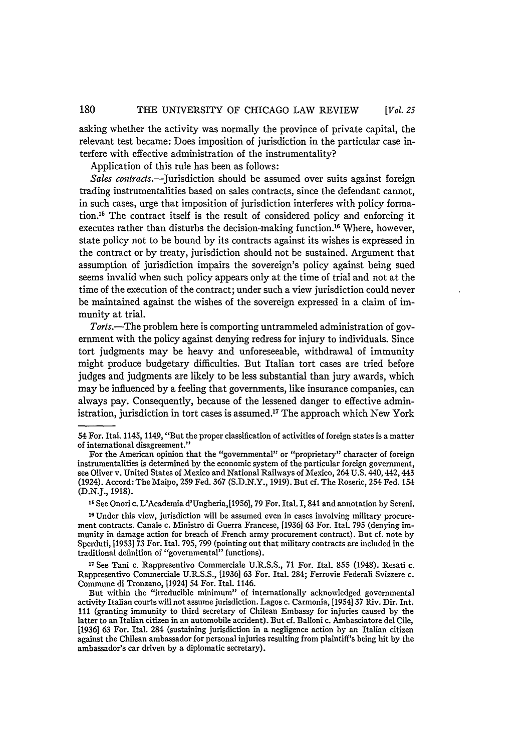asking whether the activity was normally the province of private capital, the relevant test became: Does imposition of jurisdiction in the particular case interfere with effective administration of the instrumentality?

Application of this rule has been as follows:

*Sales* contracts.-Jurisdiction should be assumed over suits against foreign trading instrumentalities based on sales contracts, since the defendant cannot, in such cases, urge that imposition of jurisdiction interferes with policy formation.15 The contract itself is the result of considered policy and enforcing it executes rather than disturbs the decision-making function.<sup>16</sup> Where, however, state policy not to be bound **by** its contracts against its wishes is expressed in the contract or **by** treaty, jurisdiction should not be sustained. Argument that assumption of jurisdiction impairs the sovereign's policy against being sued seems invalid when such policy appears only at the time of trial and not at the time of the execution of the contract; under such a view jurisdiction could never be maintained against the wishes of the sovereign expressed in a claim of immunity at trial.

*Torts.*—The problem here is comporting untrammeled administration of government with the policy against denying redress for injury to individuals. Since tort judgments may be heavy and unforeseeable, withdrawal of immunity might produce budgetary difficulties. But Italian tort cases are tried before judges and judgments are likely to be less substantial than jury awards, which may be influenced **by** a feeling that governments, like insurance companies, can always pay. Consequently, because of the lessened danger to effective administration, jurisdiction in tort cases is assumed.<sup>17</sup> The approach which New York

**1" See** Onori c. L'Academia d'Ungheria,11956], 79 For. Ital. **1,** 841 and annotation **by** Sereni.

<sup>16</sup> Under this view, jurisdiction will be assumed even in cases involving military procurement contracts. Canale c. Ministro di Guerra Francese, **[1936] 63** For. Ital. **795** (denying immunity in damage action for breach of French army procurement contract). But cf. note **by** Sperduti, **[1953] 73** For. Ital. **795, 799** (pointing out that military contracts are included in the traditional definition of "governmental" functions).

**17** See Tani c. Rappresentivo Commerciale **U.R.S.S., 71** For. Ital. **855** (1948). Resati c. Rappresentivo Commerciale **U.R.S.S., [1936] 63** For. Ital. 284; Ferrovie Federali Svizzere c. Commune di Tronzano, [1924] 54 For. **Ital.** 1146.

But within the "irreducible minimum" of internationally acknowledged governmental activity Italian courts will not assume jurisdiction. Lagos c. Carmonia, **[1954] 37** Riv. Dir. **Int. 111** (granting immunity to third secretary of Chilean Embassy for injuries caused **by** the latter to an Italian citizen in an automobile accident). But cf. Balloni c. Ambasciatore del Cile, **[1936] 63** For. Ital. **284** (sustaining jurisdiction in a negligence action **by** an Italian citizen against the Chilean ambassador for personal injuries resulting from plaintiff's being hit **by** the ambassador's car driven **by** a diplomatic secretary).

<sup>54</sup> For. Ital. 1145, 1149, "But the proper classification of activities of foreign states is a matter of international disagreement."

For the American opinion that the "governmental" or "proprietary" character of foreign instrumentalities is determined by the economic system of the particular foreign government. see Oliver v. United States of Mexico and National Railways of Mexico, 264 U.S. 440, 442, 443 (1924). Accord: The Maipo, **259** Fed. **367 (S.D.N.Y., 1919).** But cf. The Roseric, 254 Fed. 154 **(D.N.J., 1918).**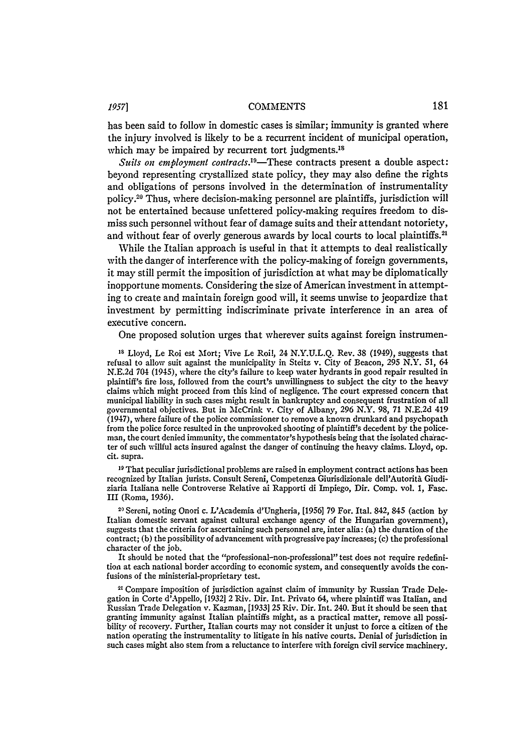#### *19571* **COMIMENTS**

has been said to follow in domestic cases is similar; immunity is granted where the injury involved is likely to be a recurrent incident of municipal operation, which may be impaired by recurrent tort judgments.<sup>18</sup>

*Suits on employment contracts.*<sup>19</sup>—These contracts present a double aspect: beyond representing crystallized state policy, they may also define the rights and obligations of persons involved in the determination of instrumentality policy. 2° Thus, where decision-making personnel are plaintiffs, jurisdiction will not be entertained because unfettered policy-making requires freedom to dismiss such personnel without fear of damage suits and their attendant notoriety, and without fear of overly generous awards by local courts to local plaintiffs.<sup>2</sup>

While the Italian approach is useful in that it attempts to deal realistically with the danger of interference with the policy-making of foreign governments, it may still permit the imposition of jurisdiction at what may be diplomatically inopportune moments. Considering the size of American investment in attempting to create and maintain foreign good will, it seems unwise to jeopardize that investment by permitting indiscriminate private interference in an area of executive concern.

One proposed solution urges that wherever suits against foreign instrumen-

**18** Lloyd, Le Roi est Mort; Vive *Le* Roil, 24 N.Y.U.L.Q. Rev. 38 (1949), suggests that refusal to allow suit against the municipality in Steitz v. City of Beacon, 295 N.Y. 51, 64 N.E.2d 704 (1945), where the city's failure to keep water hydrants in good repair resulted in plaintiff's fire loss, followed from the court's unwillingness to subject the city to the heavy claims which might proceed from this kind of negligence. The court expressed concern that municipal liability in such cases might result in bankruptcy and consequent frustration of all governmental objectives. But in McCrink v. City of Albany, 296 N.Y. 98, 71 N.E.2d 419 (1947), where failure of the police commissioner to remove a known drunkard and psychopath from the police force resulted in the unprovoked shooting of plaintiff's decedent by the policeman, the court denied immunity, the commentator's hypothesis being that the isolated character of such willful acts insured against the danger of continuing the heavy claims. Lloyd, op. cit. supra.

**19** That peculiar jurisdictional problems are raised in employment contract actions has been recognized by Italian jurists. Consult Sereni, Competenza Giurisdizionale dell'Autorità Giudiziaria Italiana nelle Controverse Relative ai Rapporti di Impiego, Dir. Comp. vol. 1, Fasc. III (Roma, 1936).

20 Sereni, noting Onori c. L'Academia d'Ungheria, [1956] 79 For. Ital. 842, 845 (action by Italian domestic servant against cultural exchange agency of the Hungarian government), suggests that the criteria for ascertaining such personnel are, inter alia: (a) the duration of the contract; (b) the possibility of advancement with progressive pay increases; (c) the professional character of the job.

It should be noted that the "professional-non-professional" test does not require redefinition at each national border according to economic system, and consequently avoids the confusions of the ministerial-proprietary test.

**21** Compare imposition of jurisdiction against claim of immunity by Russian Trade Delegation in Corte d'Appello, [1932] 2 Riv. Dir. Int. Privato 64, where plaintiff was Italian, and Russian Trade Delegation v. Kazman, [1933] 25 Riv. Dir. Int. 240. But it should be seen that granting immunity against Italian plaintiffs might, as a practical matter, remove all possibility of recovery. Further, Italian courts may not consider it unjust to force a citizen of the nation operating the instrumentality to litigate in his native courts. Denial of jurisdiction in such cases might also stem from a reluctance to interfere with foreign civil service machinery.